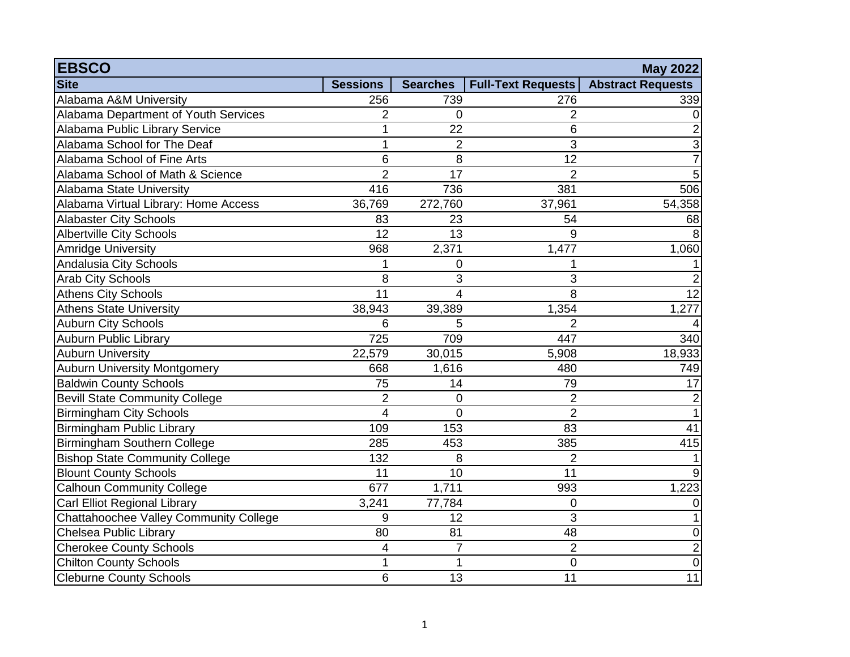| <b>EBSCO</b>                           |                 |                 |                           | <b>May 2022</b>          |
|----------------------------------------|-----------------|-----------------|---------------------------|--------------------------|
| <b>Site</b>                            | <b>Sessions</b> | <b>Searches</b> | <b>Full-Text Requests</b> | <b>Abstract Requests</b> |
| Alabama A&M University                 | 256             | 739             | 276                       | 339                      |
| Alabama Department of Youth Services   | 2               | $\overline{0}$  | 2                         |                          |
| Alabama Public Library Service         | $\mathbf 1$     | 22              | 6                         | 2                        |
| Alabama School for The Deaf            | 1               | $\overline{2}$  | 3                         | 3                        |
| Alabama School of Fine Arts            | 6               | 8               | 12                        | 7                        |
| Alabama School of Math & Science       | $\overline{2}$  | 17              | $\overline{2}$            | 5                        |
| Alabama State University               | 416             | 736             | 381                       | 506                      |
| Alabama Virtual Library: Home Access   | 36,769          | 272,760         | 37,961                    | 54,358                   |
| <b>Alabaster City Schools</b>          | 83              | 23              | 54                        | 68                       |
| <b>Albertville City Schools</b>        | $\overline{12}$ | 13              | 9                         | 8                        |
| <b>Amridge University</b>              | 968             | 2,371           | 1,477                     | 1,060                    |
| Andalusia City Schools                 | 1               | 0               |                           |                          |
| <b>Arab City Schools</b>               | 8               | 3               | 3                         | 2                        |
| <b>Athens City Schools</b>             | 11              | 4               | 8                         | 12                       |
| <b>Athens State University</b>         | 38,943          | 39,389          | 1,354                     | 1,277                    |
| <b>Auburn City Schools</b>             | 6               | 5               | $\overline{2}$            |                          |
| <b>Auburn Public Library</b>           | 725             | 709             | 447                       | 340                      |
| <b>Auburn University</b>               | 22,579          | 30,015          | 5,908                     | 18,933                   |
| <b>Auburn University Montgomery</b>    | 668             | 1,616           | 480                       | 749                      |
| <b>Baldwin County Schools</b>          | 75              | 14              | 79                        | 17                       |
| <b>Bevill State Community College</b>  | $\overline{2}$  | $\overline{0}$  | $\overline{2}$            | 2                        |
| <b>Birmingham City Schools</b>         | 4               | $\Omega$        | $\overline{2}$            |                          |
| <b>Birmingham Public Library</b>       | 109             | 153             | 83                        | 41                       |
| Birmingham Southern College            | 285             | 453             | 385                       | 415                      |
| <b>Bishop State Community College</b>  | 132             | 8               | $\overline{2}$            |                          |
| <b>Blount County Schools</b>           | 11              | 10              | $\overline{11}$           | 9                        |
| <b>Calhoun Community College</b>       | 677             | 1,711           | 993                       | 1,223                    |
| Carl Elliot Regional Library           | 3,241           | 77,784          | 0                         | $\Omega$                 |
| Chattahoochee Valley Community College | 9               | 12              | $\mathfrak{B}$            |                          |
| Chelsea Public Library                 | 80              | 81              | 48                        | 0                        |
| <b>Cherokee County Schools</b>         | 4               | $\overline{7}$  | $\overline{2}$            | $\overline{2}$           |
| <b>Chilton County Schools</b>          | $\mathbf{1}$    | $\mathbf{1}$    | $\mathbf 0$               | $\mathbf 0$              |
| Cleburne County Schools                | 6               | 13              | 11                        | $\overline{11}$          |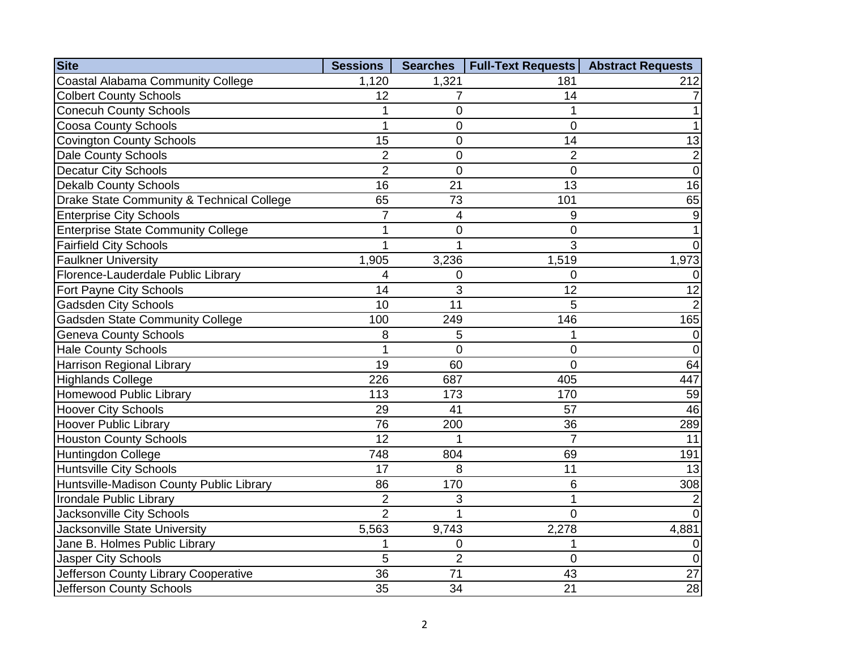| <b>Site</b>                               | <b>Sessions</b> | <b>Searches</b> | <b>Full-Text Requests</b> | <b>Abstract Requests</b> |
|-------------------------------------------|-----------------|-----------------|---------------------------|--------------------------|
| <b>Coastal Alabama Community College</b>  | 1,120           | 1,321           | 181                       | 212                      |
| <b>Colbert County Schools</b>             | 12              | $\overline{7}$  | 14                        |                          |
| <b>Conecuh County Schools</b>             | 1               | 0               |                           |                          |
| <b>Coosa County Schools</b>               | 1               | 0               | $\Omega$                  |                          |
| <b>Covington County Schools</b>           | 15              | 0               | 14                        | 13                       |
| <b>Dale County Schools</b>                | $\overline{2}$  | 0               | $\overline{2}$            | $\overline{2}$           |
| <b>Decatur City Schools</b>               | $\overline{2}$  | $\overline{0}$  | $\Omega$                  | $\overline{0}$           |
| <b>Dekalb County Schools</b>              | 16              | 21              | 13                        | 16                       |
| Drake State Community & Technical College | 65              | 73              | 101                       | 65                       |
| <b>Enterprise City Schools</b>            | $\overline{7}$  | 4               | 9                         | 9                        |
| <b>Enterprise State Community College</b> | 1               | 0               | $\Omega$                  |                          |
| <b>Fairfield City Schools</b>             | $\overline{1}$  | $\overline{1}$  | 3                         | 0                        |
| <b>Faulkner University</b>                | 1,905           | 3,236           | 1,519                     | 1,973                    |
| Florence-Lauderdale Public Library        | 4               | 0               | $\mathbf 0$               | 0                        |
| Fort Payne City Schools                   | 14              | 3               | 12                        | $\overline{12}$          |
| <b>Gadsden City Schools</b>               | 10              | 11              | 5                         | $\overline{2}$           |
| <b>Gadsden State Community College</b>    | 100             | 249             | 146                       | 165                      |
| <b>Geneva County Schools</b>              | 8               | 5               |                           | 0                        |
| <b>Hale County Schools</b>                | 1               | 0               | $\Omega$                  | $\overline{0}$           |
| <b>Harrison Regional Library</b>          | 19              | 60              | $\Omega$                  | 64                       |
| <b>Highlands College</b>                  | 226             | 687             | 405                       | 447                      |
| Homewood Public Library                   | 113             | 173             | 170                       | 59                       |
| <b>Hoover City Schools</b>                | 29              | 41              | 57                        | 46                       |
| <b>Hoover Public Library</b>              | $\overline{76}$ | 200             | 36                        | 289                      |
| <b>Houston County Schools</b>             | $\overline{12}$ |                 | 7                         | 11                       |
| Huntingdon College                        | 748             | 804             | 69                        | 191                      |
| <b>Huntsville City Schools</b>            | 17              | 8               | 11                        | 13                       |
| Huntsville-Madison County Public Library  | 86              | 170             | 6                         | 308                      |
| Irondale Public Library                   | $\overline{2}$  | 3               | 1                         |                          |
| Jacksonville City Schools                 | $\overline{2}$  | 1               | $\Omega$                  | $\Omega$                 |
| Jacksonville State University             | 5,563           | 9,743           | 2,278                     | 4,881                    |
| Jane B. Holmes Public Library             | 1               | 0               |                           | 0                        |
| Jasper City Schools                       | 5               | $\overline{2}$  | $\mathbf 0$               | $\Omega$                 |
| Jefferson County Library Cooperative      | 36              | 71              | 43                        | 27                       |
| Jefferson County Schools                  | 35              | 34              | 21                        | $\overline{28}$          |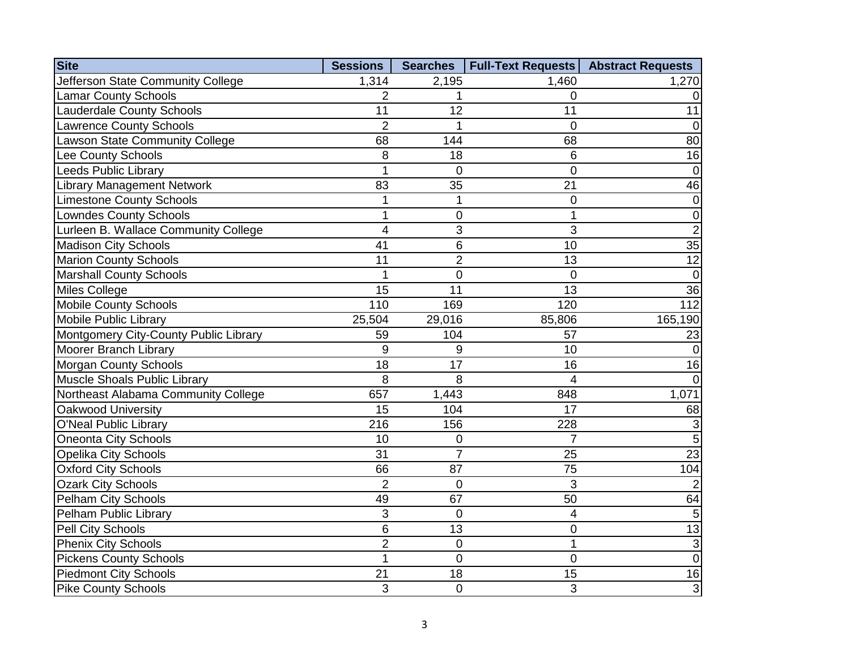| <b>Site</b>                           | <b>Sessions</b> |                | Searches   Full-Text Requests   Abstract Requests |                 |
|---------------------------------------|-----------------|----------------|---------------------------------------------------|-----------------|
| Jefferson State Community College     | 1,314           | 2,195          | 1,460                                             | 1,270           |
| <b>Lamar County Schools</b>           | 2               | 1              | 0                                                 | $\Omega$        |
| <b>Lauderdale County Schools</b>      | 11              | 12             | 11                                                | 11              |
| <b>Lawrence County Schools</b>        | $\overline{2}$  | 1              | $\mathbf 0$                                       | $\overline{0}$  |
| <b>Lawson State Community College</b> | 68              | 144            | 68                                                | 80              |
| <b>Lee County Schools</b>             | 8               | 18             | $6\phantom{1}$                                    | 16              |
| <b>Leeds Public Library</b>           | $\overline{1}$  | $\overline{0}$ | $\overline{0}$                                    | 0               |
| <b>Library Management Network</b>     | 83              | 35             | 21                                                | 46              |
| <b>Limestone County Schools</b>       | $\mathbf{1}$    | 1              | 0                                                 | $\mathbf 0$     |
| <b>Lowndes County Schools</b>         | 1               | 0              |                                                   | $\mathbf 0$     |
| Lurleen B. Wallace Community College  | 4               | 3              | 3                                                 | $\overline{2}$  |
| <b>Madison City Schools</b>           | 41              | 6              | 10                                                | $\overline{35}$ |
| <b>Marion County Schools</b>          | 11              | $\overline{2}$ | 13                                                | 12              |
| <b>Marshall County Schools</b>        | 1               | $\mathbf 0$    | $\overline{0}$                                    | $\overline{0}$  |
| <b>Miles College</b>                  | 15              | 11             | 13                                                | 36              |
| <b>Mobile County Schools</b>          | 110             | 169            | 120                                               | 112             |
| Mobile Public Library                 | 25,504          | 29,016         | 85,806                                            | 165,190         |
| Montgomery City-County Public Library | 59              | 104            | 57                                                | 23              |
| Moorer Branch Library                 | 9               | 9              | 10                                                | $\Omega$        |
| <b>Morgan County Schools</b>          | 18              | 17             | 16                                                | 16              |
| Muscle Shoals Public Library          | 8               | 8              | 4                                                 | $\Omega$        |
| Northeast Alabama Community College   | 657             | 1,443          | 848                                               | 1,071           |
| Oakwood University                    | 15              | 104            | 17                                                | 68              |
| O'Neal Public Library                 | 216             | 156            | 228                                               | 3               |
| <b>Oneonta City Schools</b>           | 10              | 0              | 7                                                 | 5               |
| <b>Opelika City Schools</b>           | 31              | $\overline{7}$ | 25                                                | $\overline{23}$ |
| <b>Oxford City Schools</b>            | 66              | 87             | 75                                                | 104             |
| <b>Ozark City Schools</b>             | $\overline{2}$  | $\overline{0}$ | 3                                                 |                 |
| Pelham City Schools                   | 49              | 67             | 50                                                | 64              |
| Pelham Public Library                 | 3               | $\overline{0}$ | $\overline{\mathbf{4}}$                           | 5               |
| Pell City Schools                     | 6               | 13             | $\mathbf 0$                                       | 13              |
| <b>Phenix City Schools</b>            | $\overline{2}$  | $\overline{0}$ | 1                                                 | 3               |
| <b>Pickens County Schools</b>         | $\overline{1}$  | $\overline{0}$ | $\overline{0}$                                    | $\overline{0}$  |
| <b>Piedmont City Schools</b>          | 21              | 18             | 15                                                | 16              |
| <b>Pike County Schools</b>            | 3               | 0              | 3                                                 | 3               |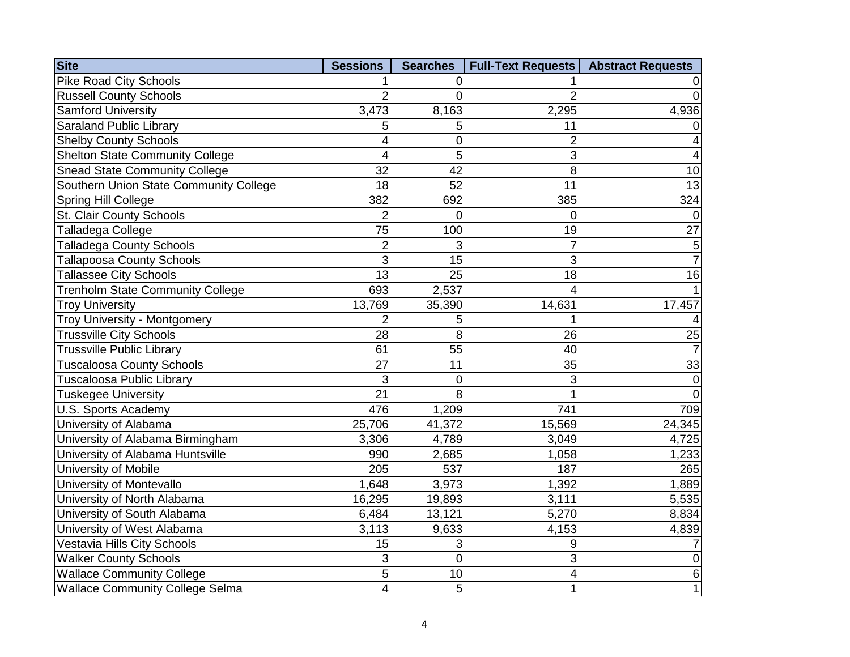| <b>Site</b>                             | <b>Sessions</b>         | <b>Searches</b> | <b>Full-Text Requests</b> | <b>Abstract Requests</b> |
|-----------------------------------------|-------------------------|-----------------|---------------------------|--------------------------|
| <b>Pike Road City Schools</b>           |                         | 0               |                           |                          |
| <b>Russell County Schools</b>           | $\overline{2}$          | $\overline{0}$  | $\overline{2}$            | $\overline{0}$           |
| <b>Samford University</b>               | 3,473                   | 8,163           | 2,295                     | 4,936                    |
| <b>Saraland Public Library</b>          | 5                       | 5               | 11                        | $\pmb{0}$                |
| <b>Shelby County Schools</b>            | 4                       | $\pmb{0}$       | $\overline{2}$            | 4                        |
| <b>Shelton State Community College</b>  | $\overline{4}$          | 5               | 3                         | $\overline{\mathbf{4}}$  |
| <b>Snead State Community College</b>    | 32                      | 42              | 8                         | 10                       |
| Southern Union State Community College  | 18                      | 52              | 11                        | 13                       |
| Spring Hill College                     | 382                     | 692             | 385                       | 324                      |
| St. Clair County Schools                | $\overline{2}$          | $\overline{0}$  | $\mathbf 0$               | $\Omega$                 |
| Talladega College                       | 75                      | 100             | 19                        | 27                       |
| <b>Talladega County Schools</b>         | $\overline{2}$          | 3               | $\overline{7}$            | 5                        |
| <b>Tallapoosa County Schools</b>        | $\overline{3}$          | $\overline{15}$ | 3                         | $\overline{7}$           |
| <b>Tallassee City Schools</b>           | $\overline{13}$         | 25              | 18                        | 16                       |
| <b>Trenholm State Community College</b> | 693                     | 2,537           | 4                         |                          |
| <b>Troy University</b>                  | 13,769                  | 35,390          | 14,631                    | 17,457                   |
| Troy University - Montgomery            | $\overline{2}$          | 5               | 1                         | 4                        |
| <b>Trussville City Schools</b>          | 28                      | 8               | 26                        | $\overline{25}$          |
| <b>Trussville Public Library</b>        | 61                      | 55              | 40                        | $\overline{7}$           |
| <b>Tuscaloosa County Schools</b>        | 27                      | 11              | 35                        | 33                       |
| <b>Tuscaloosa Public Library</b>        | 3                       | $\mathbf 0$     | 3                         | $\overline{0}$           |
| <b>Tuskegee University</b>              | 21                      | 8               | 1                         | $\overline{0}$           |
| <b>U.S. Sports Academy</b>              | 476                     | 1,209           | 741                       | 709                      |
| University of Alabama                   | 25,706                  | 41,372          | 15,569                    | 24,345                   |
| University of Alabama Birmingham        | 3,306                   | 4,789           | 3,049                     | 4,725                    |
| University of Alabama Huntsville        | 990                     | 2,685           | 1,058                     | 1,233                    |
| University of Mobile                    | 205                     | 537             | 187                       | 265                      |
| University of Montevallo                | 1,648                   | 3,973           | 1,392                     | 1,889                    |
| University of North Alabama             | 16,295                  | 19,893          | 3,111                     | 5,535                    |
| University of South Alabama             | 6,484                   | 13,121          | 5,270                     | 8,834                    |
| University of West Alabama              | 3,113                   | 9,633           | 4,153                     | 4,839                    |
| Vestavia Hills City Schools             | 15                      | 3               | 9                         | 7                        |
| <b>Walker County Schools</b>            | 3                       | $\overline{0}$  | 3                         | $\pmb{0}$                |
| <b>Wallace Community College</b>        | 5                       | 10              | 4                         | $\,6\,$                  |
| <b>Wallace Community College Selma</b>  | $\overline{\mathbf{4}}$ | 5               | $\mathbf{1}$              | $\mathbf 1$              |